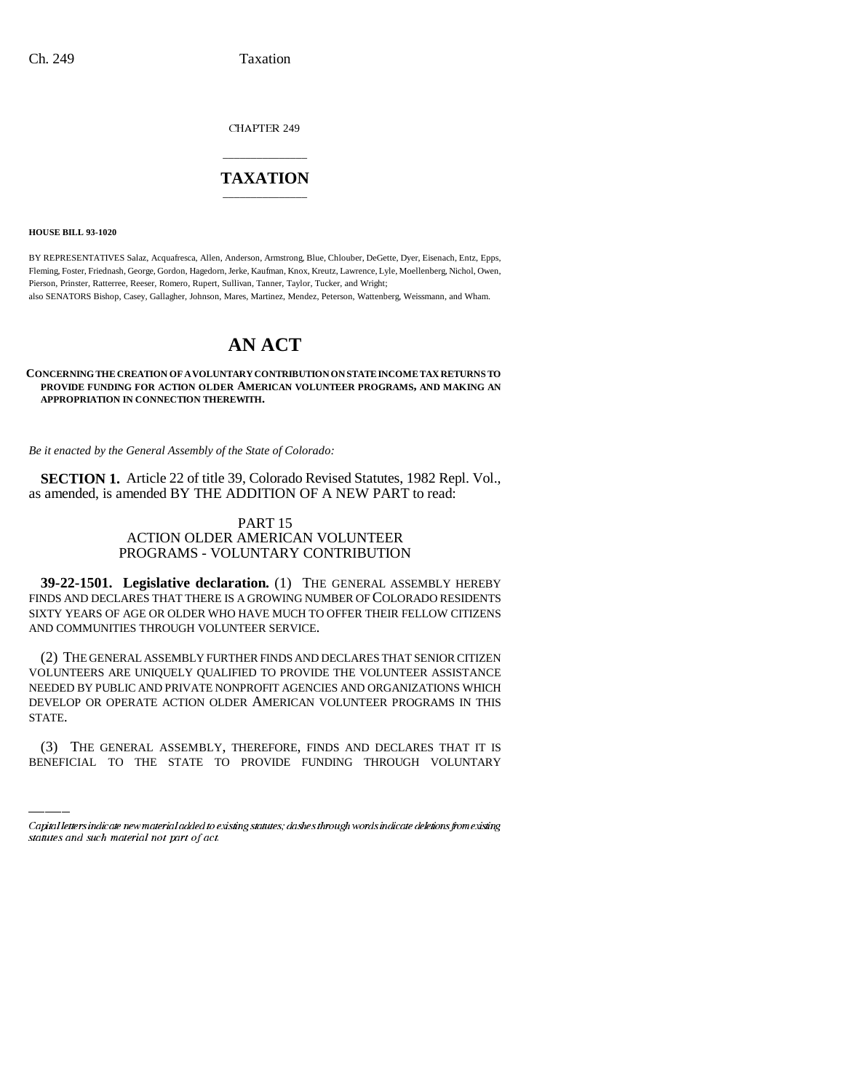CHAPTER 249

## \_\_\_\_\_\_\_\_\_\_\_\_\_\_\_ **TAXATION** \_\_\_\_\_\_\_\_\_\_\_\_\_\_\_

**HOUSE BILL 93-1020**

BY REPRESENTATIVES Salaz, Acquafresca, Allen, Anderson, Armstrong, Blue, Chlouber, DeGette, Dyer, Eisenach, Entz, Epps, Fleming, Foster, Friednash, George, Gordon, Hagedorn, Jerke, Kaufman, Knox, Kreutz, Lawrence, Lyle, Moellenberg, Nichol, Owen, Pierson, Prinster, Ratterree, Reeser, Romero, Rupert, Sullivan, Tanner, Taylor, Tucker, and Wright; also SENATORS Bishop, Casey, Gallagher, Johnson, Mares, Martinez, Mendez, Peterson, Wattenberg, Weissmann, and Wham.

# **AN ACT**

#### **CONCERNING THE CREATION OF A VOLUNTARY CONTRIBUTION ON STATE INCOME TAX RETURNS TO PROVIDE FUNDING FOR ACTION OLDER AMERICAN VOLUNTEER PROGRAMS, AND MAKING AN APPROPRIATION IN CONNECTION THEREWITH.**

*Be it enacted by the General Assembly of the State of Colorado:*

**SECTION 1.** Article 22 of title 39, Colorado Revised Statutes, 1982 Repl. Vol., as amended, is amended BY THE ADDITION OF A NEW PART to read:

### PART 15 ACTION OLDER AMERICAN VOLUNTEER PROGRAMS - VOLUNTARY CONTRIBUTION

**39-22-1501. Legislative declaration.** (1) THE GENERAL ASSEMBLY HEREBY FINDS AND DECLARES THAT THERE IS A GROWING NUMBER OF COLORADO RESIDENTS SIXTY YEARS OF AGE OR OLDER WHO HAVE MUCH TO OFFER THEIR FELLOW CITIZENS AND COMMUNITIES THROUGH VOLUNTEER SERVICE.

DEVELOP OR OPERATE ACTION OLDER AMERICAN VOLUNTEER PROGRAMS IN THIS (2) THE GENERAL ASSEMBLY FURTHER FINDS AND DECLARES THAT SENIOR CITIZEN VOLUNTEERS ARE UNIQUELY QUALIFIED TO PROVIDE THE VOLUNTEER ASSISTANCE NEEDED BY PUBLIC AND PRIVATE NONPROFIT AGENCIES AND ORGANIZATIONS WHICH STATE.

(3) THE GENERAL ASSEMBLY, THEREFORE, FINDS AND DECLARES THAT IT IS BENEFICIAL TO THE STATE TO PROVIDE FUNDING THROUGH VOLUNTARY

Capital letters indicate new material added to existing statutes; dashes through words indicate deletions from existing statutes and such material not part of act.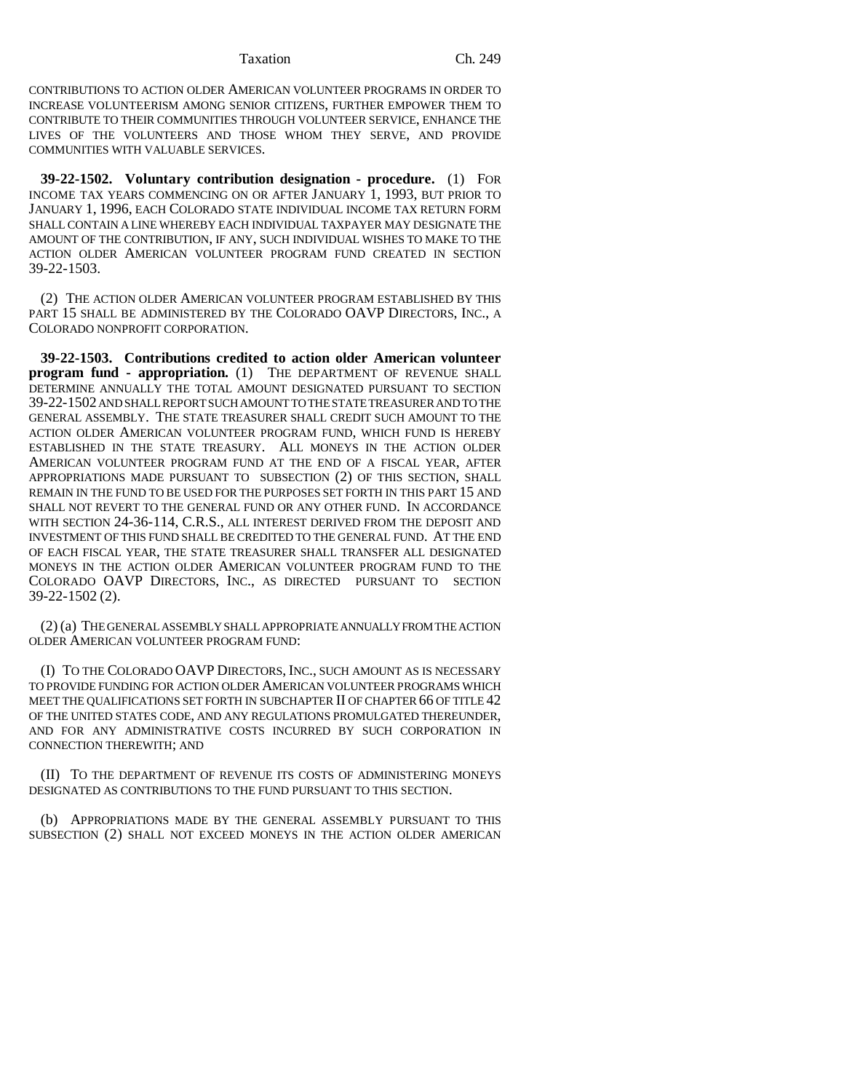Taxation Ch. 249

CONTRIBUTIONS TO ACTION OLDER AMERICAN VOLUNTEER PROGRAMS IN ORDER TO INCREASE VOLUNTEERISM AMONG SENIOR CITIZENS, FURTHER EMPOWER THEM TO CONTRIBUTE TO THEIR COMMUNITIES THROUGH VOLUNTEER SERVICE, ENHANCE THE LIVES OF THE VOLUNTEERS AND THOSE WHOM THEY SERVE, AND PROVIDE COMMUNITIES WITH VALUABLE SERVICES.

**39-22-1502. Voluntary contribution designation - procedure.** (1) FOR INCOME TAX YEARS COMMENCING ON OR AFTER JANUARY 1, 1993, BUT PRIOR TO JANUARY 1, 1996, EACH COLORADO STATE INDIVIDUAL INCOME TAX RETURN FORM SHALL CONTAIN A LINE WHEREBY EACH INDIVIDUAL TAXPAYER MAY DESIGNATE THE AMOUNT OF THE CONTRIBUTION, IF ANY, SUCH INDIVIDUAL WISHES TO MAKE TO THE ACTION OLDER AMERICAN VOLUNTEER PROGRAM FUND CREATED IN SECTION 39-22-1503.

(2) THE ACTION OLDER AMERICAN VOLUNTEER PROGRAM ESTABLISHED BY THIS PART 15 SHALL BE ADMINISTERED BY THE COLORADO OAVP DIRECTORS, INC., A COLORADO NONPROFIT CORPORATION.

**39-22-1503. Contributions credited to action older American volunteer program fund - appropriation.** (1) THE DEPARTMENT OF REVENUE SHALL DETERMINE ANNUALLY THE TOTAL AMOUNT DESIGNATED PURSUANT TO SECTION 39-22-1502 AND SHALL REPORT SUCH AMOUNT TO THE STATE TREASURER AND TO THE GENERAL ASSEMBLY. THE STATE TREASURER SHALL CREDIT SUCH AMOUNT TO THE ACTION OLDER AMERICAN VOLUNTEER PROGRAM FUND, WHICH FUND IS HEREBY ESTABLISHED IN THE STATE TREASURY. ALL MONEYS IN THE ACTION OLDER AMERICAN VOLUNTEER PROGRAM FUND AT THE END OF A FISCAL YEAR, AFTER APPROPRIATIONS MADE PURSUANT TO SUBSECTION (2) OF THIS SECTION, SHALL REMAIN IN THE FUND TO BE USED FOR THE PURPOSES SET FORTH IN THIS PART 15 AND SHALL NOT REVERT TO THE GENERAL FUND OR ANY OTHER FUND. IN ACCORDANCE WITH SECTION 24-36-114, C.R.S., ALL INTEREST DERIVED FROM THE DEPOSIT AND INVESTMENT OF THIS FUND SHALL BE CREDITED TO THE GENERAL FUND. AT THE END OF EACH FISCAL YEAR, THE STATE TREASURER SHALL TRANSFER ALL DESIGNATED MONEYS IN THE ACTION OLDER AMERICAN VOLUNTEER PROGRAM FUND TO THE COLORADO OAVP DIRECTORS, INC., AS DIRECTED PURSUANT TO SECTION 39-22-1502 (2).

(2) (a) THE GENERAL ASSEMBLY SHALL APPROPRIATE ANNUALLY FROM THE ACTION OLDER AMERICAN VOLUNTEER PROGRAM FUND:

(I) TO THE COLORADO OAVP DIRECTORS, INC., SUCH AMOUNT AS IS NECESSARY TO PROVIDE FUNDING FOR ACTION OLDER AMERICAN VOLUNTEER PROGRAMS WHICH MEET THE QUALIFICATIONS SET FORTH IN SUBCHAPTER II OF CHAPTER 66 OF TITLE 42 OF THE UNITED STATES CODE, AND ANY REGULATIONS PROMULGATED THEREUNDER, AND FOR ANY ADMINISTRATIVE COSTS INCURRED BY SUCH CORPORATION IN CONNECTION THEREWITH; AND

(II) TO THE DEPARTMENT OF REVENUE ITS COSTS OF ADMINISTERING MONEYS DESIGNATED AS CONTRIBUTIONS TO THE FUND PURSUANT TO THIS SECTION.

(b) APPROPRIATIONS MADE BY THE GENERAL ASSEMBLY PURSUANT TO THIS SUBSECTION (2) SHALL NOT EXCEED MONEYS IN THE ACTION OLDER AMERICAN